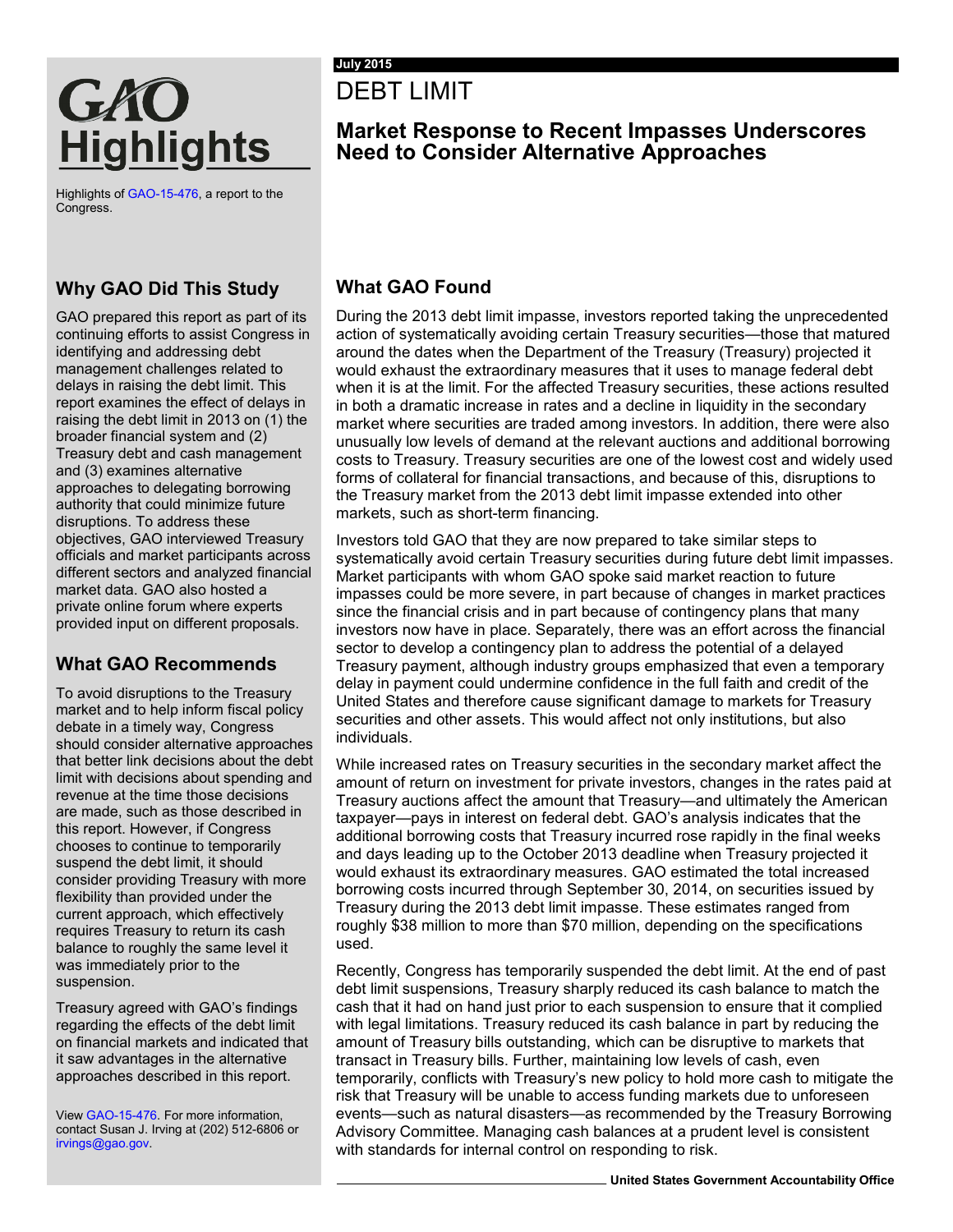# DEBT LIMIT

## **Market Response to Recent Impasses Underscores Need to Consider Alternative Approaches**

Highlights o[f GAO-15-476,](http://www.gao.gov/products/GAO-15-476) a report to the Congress.

**Highlights** 

GAO

## **Why GAO Did This Study**

GAO prepared this report as part of its continuing efforts to assist Congress in identifying and addressing debt management challenges related to delays in raising the debt limit. This report examines the effect of delays in raising the debt limit in 2013 on (1) the broader financial system and (2) Treasury debt and cash management and (3) examines alternative approaches to delegating borrowing authority that could minimize future disruptions. To address these objectives, GAO interviewed Treasury officials and market participants across different sectors and analyzed financial market data. GAO also hosted a private online forum where experts provided input on different proposals.

### **What GAO Recommends**

To avoid disruptions to the Treasury market and to help inform fiscal policy debate in a timely way, Congress should consider alternative approaches that better link decisions about the debt limit with decisions about spending and revenue at the time those decisions are made, such as those described in this report. However, if Congress chooses to continue to temporarily suspend the debt limit, it should consider providing Treasury with more flexibility than provided under the current approach, which effectively requires Treasury to return its cash balance to roughly the same level it was immediately prior to the suspension.

Treasury agreed with GAO's findings regarding the effects of the debt limit on financial markets and indicated that it saw advantages in the alternative approaches described in this report.

View [GAO-15-476.](http://www.gao.gov/products/GAO-15-476) For more information, contact Susan J. Irving at (202) 512-6806 or [irvings@gao.gov.](mailto:irvings@gao.gov) 

### **What GAO Found**

During the 2013 debt limit impasse, investors reported taking the unprecedented action of systematically avoiding certain Treasury securities—those that matured around the dates when the Department of the Treasury (Treasury) projected it would exhaust the extraordinary measures that it uses to manage federal debt when it is at the limit. For the affected Treasury securities, these actions resulted in both a dramatic increase in rates and a decline in liquidity in the secondary market where securities are traded among investors. In addition, there were also unusually low levels of demand at the relevant auctions and additional borrowing costs to Treasury. Treasury securities are one of the lowest cost and widely used forms of collateral for financial transactions, and because of this, disruptions to the Treasury market from the 2013 debt limit impasse extended into other markets, such as short-term financing.

Investors told GAO that they are now prepared to take similar steps to systematically avoid certain Treasury securities during future debt limit impasses. Market participants with whom GAO spoke said market reaction to future impasses could be more severe, in part because of changes in market practices since the financial crisis and in part because of contingency plans that many investors now have in place. Separately, there was an effort across the financial sector to develop a contingency plan to address the potential of a delayed Treasury payment, although industry groups emphasized that even a temporary delay in payment could undermine confidence in the full faith and credit of the United States and therefore cause significant damage to markets for Treasury securities and other assets. This would affect not only institutions, but also individuals.

While increased rates on Treasury securities in the secondary market affect the amount of return on investment for private investors, changes in the rates paid at Treasury auctions affect the amount that Treasury—and ultimately the American taxpayer—pays in interest on federal debt. GAO's analysis indicates that the additional borrowing costs that Treasury incurred rose rapidly in the final weeks and days leading up to the October 2013 deadline when Treasury projected it would exhaust its extraordinary measures. GAO estimated the total increased borrowing costs incurred through September 30, 2014, on securities issued by Treasury during the 2013 debt limit impasse. These estimates ranged from roughly \$38 million to more than \$70 million, depending on the specifications used.

Recently, Congress has temporarily suspended the debt limit. At the end of past debt limit suspensions, Treasury sharply reduced its cash balance to match the cash that it had on hand just prior to each suspension to ensure that it complied with legal limitations. Treasury reduced its cash balance in part by reducing the amount of Treasury bills outstanding, which can be disruptive to markets that transact in Treasury bills. Further, maintaining low levels of cash, even temporarily, conflicts with Treasury's new policy to hold more cash to mitigate the risk that Treasury will be unable to access funding markets due to unforeseen events—such as natural disasters—as recommended by the Treasury Borrowing Advisory Committee. Managing cash balances at a prudent level is consistent with standards for internal control on responding to risk.